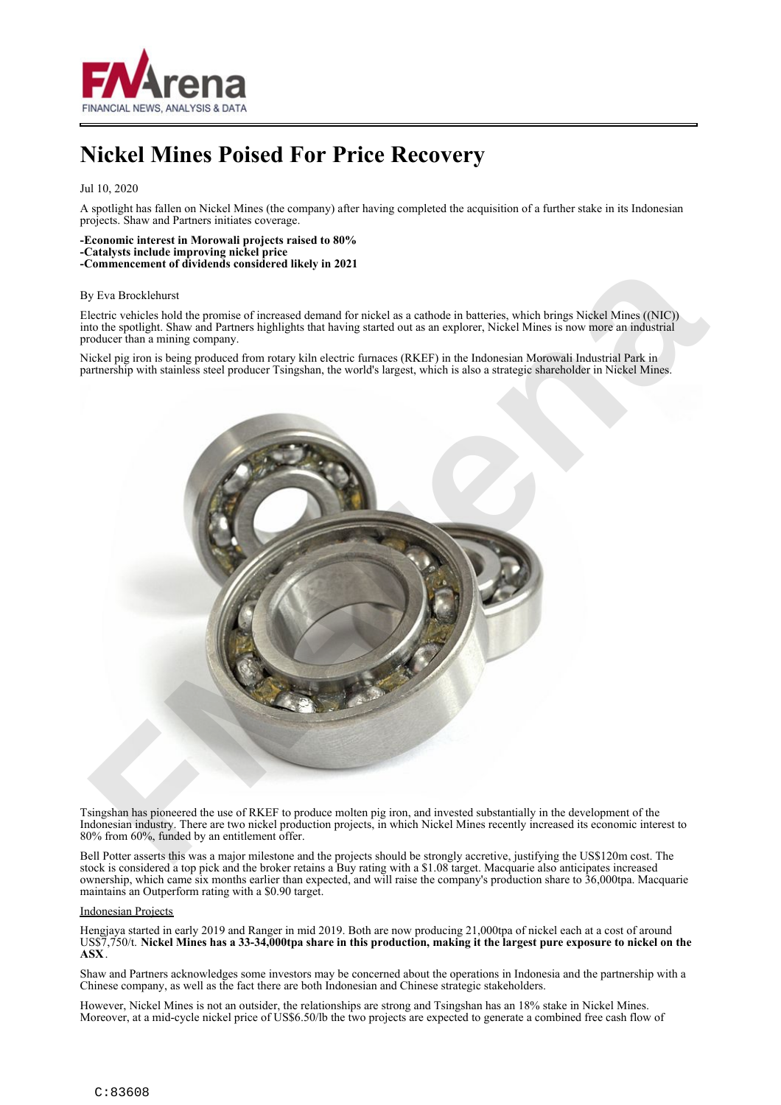

## **Nickel Mines Poised For Price Recovery**

Jul 10, 2020

A spotlight has fallen on Nickel Mines (the company) after having completed the acquisition of a further stake in its Indonesian projects. Shaw and Partners initiates coverage.

**-Economic interest in Morowali projects raised to 80% -Catalysts include improving nickel price -Commencement of dividends considered likely in 2021**

## By Eva Brocklehurst

Electric vehicles hold the promise of increased demand for nickel as a cathode in batteries, which brings Nickel Mines ((NIC)) into the spotlight. Shaw and Partners highlights that having started out as an explorer, Nickel Mines is now more an industrial producer than a mining company.

Nickel pig iron is being produced from rotary kiln electric furnaces (RKEF) in the Indonesian Morowali Industrial Park in partnership with stainless steel producer Tsingshan, the world's largest, which is also a strategic shareholder in Nickel Mines.



Tsingshan has pioneered the use of RKEF to produce molten pig iron, and invested substantially in the development of the Indonesian industry. There are two nickel production projects, in which Nickel Mines recently increased its economic interest to 80% from 60%, funded by an entitlement offer.

Bell Potter asserts this was a major milestone and the projects should be strongly accretive, justifying the US\$120m cost. The stock is considered a top pick and the broker retains a Buy rating with a \$1.08 target. Macquarie also anticipates increased ownership, which came six months earlier than expected, and will raise the company's production share to 36,000tpa. Macquarie maintains an Outperform rating with a \$0.90 target.

## Indonesian Projects

Hengjaya started in early 2019 and Ranger in mid 2019. Both are now producing 21,000tpa of nickel each at a cost of around US\$7,750/t. **Nickel Mines has a 33-34,000tpa share in this production, making it the largest pure exposure to nickel on the ASX**.

Shaw and Partners acknowledges some investors may be concerned about the operations in Indonesia and the partnership with a Chinese company, as well as the fact there are both Indonesian and Chinese strategic stakeholders.

However, Nickel Mines is not an outsider, the relationships are strong and Tsingshan has an 18% stake in Nickel Mines. Moreover, at a mid-cycle nickel price of US\$6.50/lb the two projects are expected to generate a combined free cash flow of